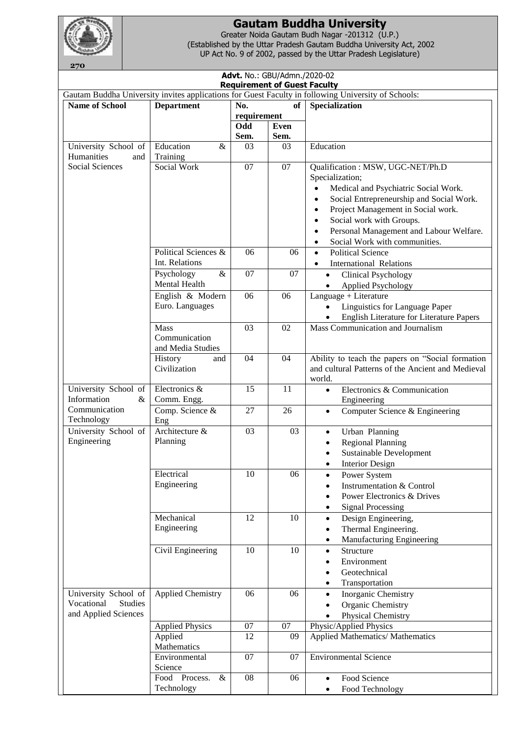

## **Gautam Buddha University**

Greater Noida Gautam Budh Nagar -201312 (U.P.) (Established by the Uttar Pradesh Gautam Buddha University Act, 2002 UP Act No. 9 of 2002, passed by the Uttar Pradesh Legislature)

| Advt. No.: GBU/Admn./2020-02<br><b>Requirement of Guest Faculty</b> |                                     |                                                                                                     |      |                                                                                                       |  |  |  |  |
|---------------------------------------------------------------------|-------------------------------------|-----------------------------------------------------------------------------------------------------|------|-------------------------------------------------------------------------------------------------------|--|--|--|--|
|                                                                     |                                     | Gautam Buddha University invites applications for Guest Faculty in following University of Schools: |      |                                                                                                       |  |  |  |  |
| <b>Name of School</b>                                               | <b>Department</b>                   | No.                                                                                                 | of   | <b>Specialization</b>                                                                                 |  |  |  |  |
|                                                                     |                                     | requirement                                                                                         |      |                                                                                                       |  |  |  |  |
|                                                                     |                                     | Odd                                                                                                 | Even |                                                                                                       |  |  |  |  |
|                                                                     |                                     | Sem.                                                                                                | Sem. |                                                                                                       |  |  |  |  |
| University School of                                                | Education<br>$\&$                   | 03                                                                                                  | 03   | Education                                                                                             |  |  |  |  |
| Humanities<br>and                                                   | Training                            |                                                                                                     |      |                                                                                                       |  |  |  |  |
| Social Sciences                                                     | Social Work                         | $\overline{07}$                                                                                     | 07   | Qualification: MSW, UGC-NET/Ph.D                                                                      |  |  |  |  |
|                                                                     |                                     |                                                                                                     |      | Specialization;                                                                                       |  |  |  |  |
|                                                                     |                                     |                                                                                                     |      | Medical and Psychiatric Social Work.                                                                  |  |  |  |  |
|                                                                     |                                     |                                                                                                     |      | Social Entrepreneurship and Social Work.<br>$\bullet$                                                 |  |  |  |  |
|                                                                     |                                     |                                                                                                     |      | Project Management in Social work.<br>$\bullet$                                                       |  |  |  |  |
|                                                                     |                                     |                                                                                                     |      | Social work with Groups.<br>$\bullet$                                                                 |  |  |  |  |
|                                                                     |                                     |                                                                                                     |      | Personal Management and Labour Welfare.<br>$\bullet$                                                  |  |  |  |  |
|                                                                     |                                     |                                                                                                     |      | Social Work with communities.                                                                         |  |  |  |  |
|                                                                     | Political Sciences &                | 06                                                                                                  | 06   | <b>Political Science</b><br>$\bullet$                                                                 |  |  |  |  |
|                                                                     | Int. Relations                      |                                                                                                     |      |                                                                                                       |  |  |  |  |
|                                                                     |                                     |                                                                                                     |      | <b>International Relations</b>                                                                        |  |  |  |  |
|                                                                     | $\&$<br>Psychology<br>Mental Health | 07                                                                                                  | 07   | <b>Clinical Psychology</b><br>$\bullet$                                                               |  |  |  |  |
|                                                                     |                                     |                                                                                                     |      | <b>Applied Psychology</b><br>$\bullet$                                                                |  |  |  |  |
|                                                                     | English & Modern                    | 06                                                                                                  | 06   | Language + Literature                                                                                 |  |  |  |  |
|                                                                     | Euro. Languages                     |                                                                                                     |      | Linguistics for Language Paper<br>$\bullet$                                                           |  |  |  |  |
|                                                                     |                                     |                                                                                                     |      | English Literature for Literature Papers<br>$\bullet$                                                 |  |  |  |  |
|                                                                     | Mass                                | 03                                                                                                  | 02   | Mass Communication and Journalism                                                                     |  |  |  |  |
|                                                                     | Communication                       |                                                                                                     |      |                                                                                                       |  |  |  |  |
|                                                                     | and Media Studies                   |                                                                                                     |      |                                                                                                       |  |  |  |  |
|                                                                     | History<br>and<br>Civilization      | 04                                                                                                  | 04   | Ability to teach the papers on "Social formation<br>and cultural Patterns of the Ancient and Medieval |  |  |  |  |
|                                                                     |                                     |                                                                                                     |      | world.                                                                                                |  |  |  |  |
| University School of                                                | Electronics &                       | 15                                                                                                  | 11   | Electronics & Communication<br>$\bullet$                                                              |  |  |  |  |
| Information<br>&                                                    | Comm. Engg.                         |                                                                                                     |      | Engineering                                                                                           |  |  |  |  |
| Communication                                                       | Comp. Science &                     | 27                                                                                                  | 26   | Computer Science & Engineering<br>$\bullet$                                                           |  |  |  |  |
| Technology                                                          | Eng                                 |                                                                                                     |      |                                                                                                       |  |  |  |  |
| University School of                                                | Architecture &                      | 03                                                                                                  | 03   | Urban Planning<br>$\bullet$                                                                           |  |  |  |  |
| Engineering                                                         | Planning                            |                                                                                                     |      | <b>Regional Planning</b><br>٠                                                                         |  |  |  |  |
|                                                                     |                                     |                                                                                                     |      | <b>Sustainable Development</b><br>$\bullet$                                                           |  |  |  |  |
|                                                                     |                                     |                                                                                                     |      | <b>Interior Design</b><br>$\bullet$                                                                   |  |  |  |  |
|                                                                     | Electrical                          | 10                                                                                                  | 06   | Power System<br>$\bullet$                                                                             |  |  |  |  |
|                                                                     | Engineering                         |                                                                                                     |      | <b>Instrumentation &amp; Control</b>                                                                  |  |  |  |  |
|                                                                     |                                     |                                                                                                     |      | Power Electronics & Drives                                                                            |  |  |  |  |
|                                                                     |                                     |                                                                                                     |      | <b>Signal Processing</b><br>٠                                                                         |  |  |  |  |
|                                                                     | Mechanical                          | 12                                                                                                  | 10   | Design Engineering,<br>$\bullet$                                                                      |  |  |  |  |
|                                                                     | Engineering                         |                                                                                                     |      | Thermal Engineering.<br>$\bullet$                                                                     |  |  |  |  |
|                                                                     |                                     |                                                                                                     |      | Manufacturing Engineering<br>٠                                                                        |  |  |  |  |
|                                                                     | Civil Engineering                   | 10                                                                                                  | 10   | Structure<br>$\bullet$                                                                                |  |  |  |  |
|                                                                     |                                     |                                                                                                     |      | Environment                                                                                           |  |  |  |  |
|                                                                     |                                     |                                                                                                     |      | Geotechnical                                                                                          |  |  |  |  |
|                                                                     |                                     |                                                                                                     |      | Transportation                                                                                        |  |  |  |  |
| University School of                                                | <b>Applied Chemistry</b>            | 06                                                                                                  | 06   | Inorganic Chemistry<br>$\bullet$                                                                      |  |  |  |  |
| Vocational<br><b>Studies</b>                                        |                                     |                                                                                                     |      | Organic Chemistry                                                                                     |  |  |  |  |
| and Applied Sciences                                                |                                     |                                                                                                     |      | Physical Chemistry                                                                                    |  |  |  |  |
|                                                                     | <b>Applied Physics</b>              | 07                                                                                                  | 07   | Physic/Applied Physics                                                                                |  |  |  |  |
|                                                                     | Applied                             | 12                                                                                                  | 09   | <b>Applied Mathematics/ Mathematics</b>                                                               |  |  |  |  |
|                                                                     | Mathematics                         |                                                                                                     |      |                                                                                                       |  |  |  |  |
|                                                                     | Environmental                       | 07                                                                                                  | 07   | <b>Environmental Science</b>                                                                          |  |  |  |  |
|                                                                     | Science                             |                                                                                                     |      |                                                                                                       |  |  |  |  |
|                                                                     | Food Process.<br>$\&$               | 08                                                                                                  | 06   | Food Science<br>$\bullet$                                                                             |  |  |  |  |
|                                                                     | Technology                          |                                                                                                     |      | Food Technology<br>$\bullet$                                                                          |  |  |  |  |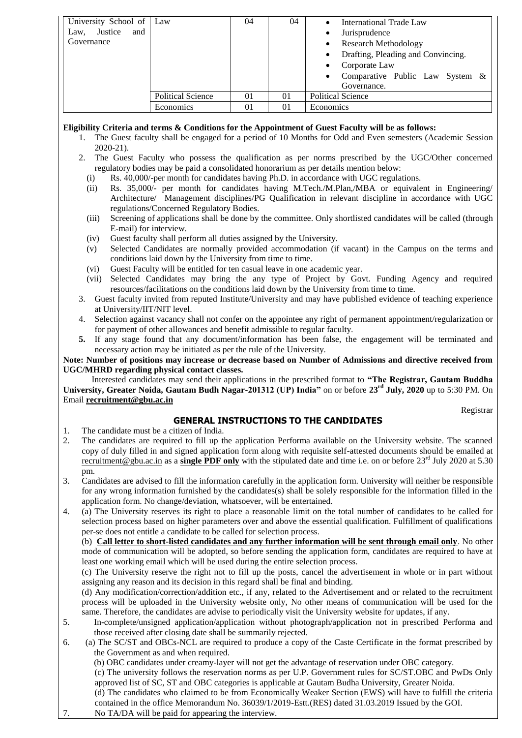| University School of   Law |                          | 04 | 04             | International Trade Law                 |
|----------------------------|--------------------------|----|----------------|-----------------------------------------|
| Justice<br>and<br>Law,     |                          |    |                | Jurisprudence                           |
| Governance                 |                          |    |                | <b>Research Methodology</b><br>٠        |
|                            |                          |    |                | Drafting, Pleading and Convincing.<br>٠ |
|                            |                          |    |                | Corporate Law                           |
|                            |                          |    |                | Comparative Public Law System &         |
|                            |                          |    |                | Governance.                             |
|                            | <b>Political Science</b> | 01 | 01             | <b>Political Science</b>                |
|                            | Economics                | 01 | 0 <sub>1</sub> | Economics                               |

## **Eligibility Criteria and terms & Conditions for the Appointment of Guest Faculty will be as follows:**

- 1. The Guest faculty shall be engaged for a period of 10 Months for Odd and Even semesters (Academic Session 2020-21).
- 2. The Guest Faculty who possess the qualification as per norms prescribed by the UGC/Other concerned regulatory bodies may be paid a consolidated honorarium as per details mention below:
	- (i) Rs. 40,000/-per month for candidates having Ph.D. in accordance with UGC regulations.
	- (ii) Rs. 35,000/- per month for candidates having M.Tech./M.Plan,/MBA or equivalent in Engineering/ Architecture/ Management disciplines/PG Qualification in relevant discipline in accordance with UGC regulations/Concerned Regulatory Bodies.
	- (iii) Screening of applications shall be done by the committee. Only shortlisted candidates will be called (through E-mail) for interview.
	- (iv) Guest faculty shall perform all duties assigned by the University.
	- (v) Selected Candidates are normally provided accommodation (if vacant) in the Campus on the terms and conditions laid down by the University from time to time.
	- (vi) Guest Faculty will be entitled for ten casual leave in one academic year.
	- (vii) Selected Candidates may bring the any type of Project by Govt. Funding Agency and required resources/facilitations on the conditions laid down by the University from time to time.
- 3. Guest faculty invited from reputed Institute/University and may have published evidence of teaching experience at University/IIT/NIT level.
- 4. Selection against vacancy shall not confer on the appointee any right of permanent appointment/regularization or for payment of other allowances and benefit admissible to regular faculty.
- **5.** If any stage found that any document/information has been false, the engagement will be terminated and necessary action may be initiated as per the rule of the University.

**Note: Number of positions may increase or decrease based on Number of Admissions and directive received from UGC/MHRD regarding physical contact classes.**

 Interested candidates may send their applications in the prescribed format to **"The Registrar, Gautam Buddha University, Greater Noida, Gautam Budh Nagar-201312 (UP) India"** on or before **23rd July, 2020** up to 5:30 PM. On Email **[recruitment@gbu.ac.in](mailto:recruitment@gbu.ac.in)**

Registrar

## **GENERAL INSTRUCTIONS TO THE CANDIDATES**

- 1. The candidate must be a citizen of India.
- 2. The candidates are required to fill up the application Performa available on the University website. The scanned copy of duly filled in and signed application form along with requisite self-attested documents should be emailed at recruitment @gbu.ac.in as a **single PDF only** with the stipulated date and time i.e. on or before  $23^{rd}$  July 2020 at 5.30 pm.
- 3. Candidates are advised to fill the information carefully in the application form. University will neither be responsible for any wrong information furnished by the candidates(s) shall be solely responsible for the information filled in the application form. No change/deviation, whatsoever, will be entertained.
- 4. (a) The University reserves its right to place a reasonable limit on the total number of candidates to be called for selection process based on higher parameters over and above the essential qualification. Fulfillment of qualifications per-se does not entitle a candidate to be called for selection process.

(b) **Call letter to short-listed candidates and any further information will be sent through email only**. No other mode of communication will be adopted, so before sending the application form, candidates are required to have at least one working email which will be used during the entire selection process.

(c) The University reserve the right not to fill up the posts, cancel the advertisement in whole or in part without assigning any reason and its decision in this regard shall be final and binding.

(d) Any modification/correction/addition etc., if any, related to the Advertisement and or related to the recruitment process will be uploaded in the University website only, No other means of communication will be used for the same. Therefore, the candidates are advise to periodically visit the University website for updates, if any.

- 5. In-complete/unsigned application/application without photograph/application not in prescribed Performa and those received after closing date shall be summarily rejected.
- 6. (a) The SC/ST and OBCs-NCL are required to produce a copy of the Caste Certificate in the format prescribed by the Government as and when required.
	- (b) OBC candidates under creamy-layer will not get the advantage of reservation under OBC category.
	- (c) The university follows the reservation norms as per U.P. Government rules for SC/ST.OBC and PwDs Only approved list of SC, ST and OBC categories is applicable at Gautam Budha University, Greater Noida.

(d) The candidates who claimed to be from Economically Weaker Section (EWS) will have to fulfill the criteria contained in the office Memorandum No. 36039/1/2019-Estt.(RES) dated 31.03.2019 Issued by the GOI.

7. No TA/DA will be paid for appearing the interview.